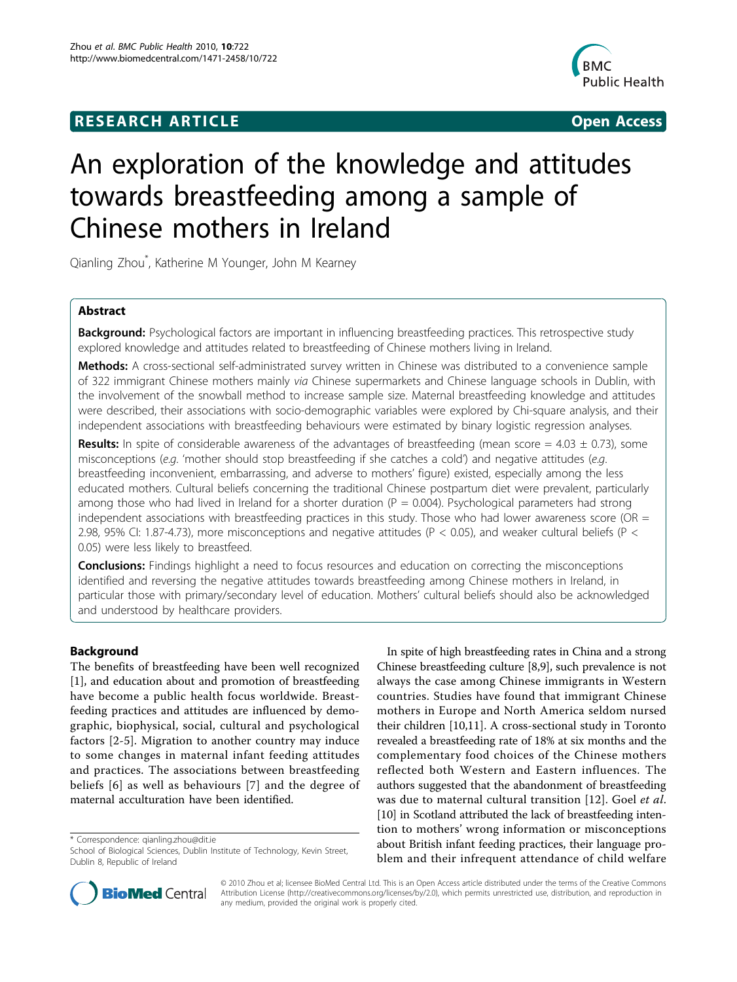# **RESEARCH ARTICLE Example 2018 CONSIDERING ACCESS**



# An exploration of the knowledge and attitudes towards breastfeeding among a sample of Chinese mothers in Ireland

Qianling Zhou\* , Katherine M Younger, John M Kearney

# Abstract

Background: Psychological factors are important in influencing breastfeeding practices. This retrospective study explored knowledge and attitudes related to breastfeeding of Chinese mothers living in Ireland.

Methods: A cross-sectional self-administrated survey written in Chinese was distributed to a convenience sample of 322 immigrant Chinese mothers mainly via Chinese supermarkets and Chinese language schools in Dublin, with the involvement of the snowball method to increase sample size. Maternal breastfeeding knowledge and attitudes were described, their associations with socio-demographic variables were explored by Chi-square analysis, and their independent associations with breastfeeding behaviours were estimated by binary logistic regression analyses.

**Results:** In spite of considerable awareness of the advantages of breastfeeding (mean score =  $4.03 \pm 0.73$ ), some misconceptions (e.g. 'mother should stop breastfeeding if she catches a cold') and negative attitudes (e.g. breastfeeding inconvenient, embarrassing, and adverse to mothers' figure) existed, especially among the less educated mothers. Cultural beliefs concerning the traditional Chinese postpartum diet were prevalent, particularly among those who had lived in Ireland for a shorter duration ( $P = 0.004$ ). Psychological parameters had strong independent associations with breastfeeding practices in this study. Those who had lower awareness score (OR  $=$ 2.98, 95% CI: 1.87-4.73), more misconceptions and negative attitudes (P < 0.05), and weaker cultural beliefs (P < 0.05) were less likely to breastfeed.

**Conclusions:** Findings highlight a need to focus resources and education on correcting the misconceptions identified and reversing the negative attitudes towards breastfeeding among Chinese mothers in Ireland, in particular those with primary/secondary level of education. Mothers' cultural beliefs should also be acknowledged and understood by healthcare providers.

## Background

The benefits of breastfeeding have been well recognized [[1\]](#page-9-0), and education about and promotion of breastfeeding have become a public health focus worldwide. Breastfeeding practices and attitudes are influenced by demographic, biophysical, social, cultural and psychological factors [[2-5](#page-9-0)]. Migration to another country may induce to some changes in maternal infant feeding attitudes and practices. The associations between breastfeeding beliefs [[6](#page-9-0)] as well as behaviours [[7](#page-9-0)] and the degree of maternal acculturation have been identified.

\* Correspondence: [qianling.zhou@dit.ie](mailto:qianling.zhou@dit.ie)

In spite of high breastfeeding rates in China and a strong Chinese breastfeeding culture [[8](#page-9-0),[9](#page-9-0)], such prevalence is not always the case among Chinese immigrants in Western countries. Studies have found that immigrant Chinese mothers in Europe and North America seldom nursed their children [\[10,11\]](#page-9-0). A cross-sectional study in Toronto revealed a breastfeeding rate of 18% at six months and the complementary food choices of the Chinese mothers reflected both Western and Eastern influences. The authors suggested that the abandonment of breastfeeding was due to maternal cultural transition [[12](#page-9-0)]. Goel et al. [[10](#page-9-0)] in Scotland attributed the lack of breastfeeding intention to mothers' wrong information or misconceptions about British infant feeding practices, their language problem and their infrequent attendance of child welfare



© 2010 Zhou et al; licensee BioMed Central Ltd. This is an Open Access article distributed under the terms of the Creative Commons Attribution License (http://creativecommons.org/licenses/by/2.0), which permits unrestricted use, distribution, and reproduction in any medium, provided the original work is properly cited.

School of Biological Sciences, Dublin Institute of Technology, Kevin Street, Dublin 8, Republic of Ireland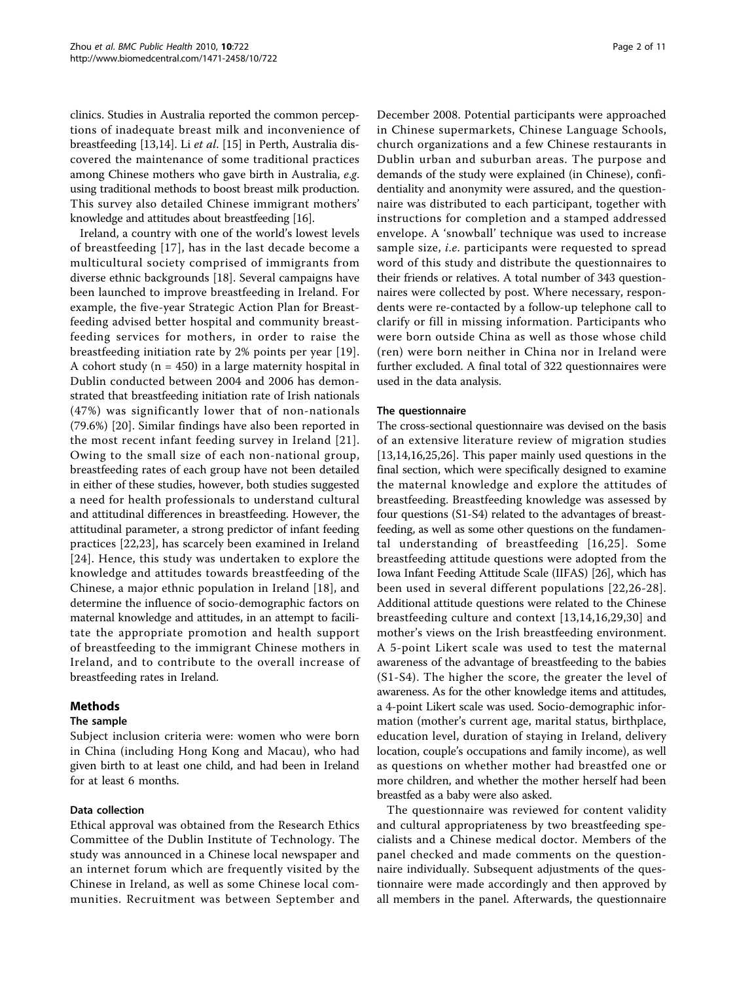clinics. Studies in Australia reported the common perceptions of inadequate breast milk and inconvenience of breastfeeding [\[13,14\]](#page-9-0). Li et al. [[15\]](#page-9-0) in Perth, Australia discovered the maintenance of some traditional practices among Chinese mothers who gave birth in Australia, e.g. using traditional methods to boost breast milk production. This survey also detailed Chinese immigrant mothers' knowledge and attitudes about breastfeeding [[16](#page-9-0)].

Ireland, a country with one of the world's lowest levels of breastfeeding [[17](#page-9-0)], has in the last decade become a multicultural society comprised of immigrants from diverse ethnic backgrounds [\[18](#page-9-0)]. Several campaigns have been launched to improve breastfeeding in Ireland. For example, the five-year Strategic Action Plan for Breastfeeding advised better hospital and community breastfeeding services for mothers, in order to raise the breastfeeding initiation rate by 2% points per year [[19](#page-9-0)]. A cohort study ( $n = 450$ ) in a large maternity hospital in Dublin conducted between 2004 and 2006 has demonstrated that breastfeeding initiation rate of Irish nationals (47%) was significantly lower that of non-nationals (79.6%) [[20\]](#page-9-0). Similar findings have also been reported in the most recent infant feeding survey in Ireland [\[21\]](#page-9-0). Owing to the small size of each non-national group, breastfeeding rates of each group have not been detailed in either of these studies, however, both studies suggested a need for health professionals to understand cultural and attitudinal differences in breastfeeding. However, the attitudinal parameter, a strong predictor of infant feeding practices [[22,23](#page-9-0)], has scarcely been examined in Ireland [[24\]](#page-9-0). Hence, this study was undertaken to explore the knowledge and attitudes towards breastfeeding of the Chinese, a major ethnic population in Ireland [\[18\]](#page-9-0), and determine the influence of socio-demographic factors on maternal knowledge and attitudes, in an attempt to facilitate the appropriate promotion and health support of breastfeeding to the immigrant Chinese mothers in Ireland, and to contribute to the overall increase of breastfeeding rates in Ireland.

# Methods

## The sample

Subject inclusion criteria were: women who were born in China (including Hong Kong and Macau), who had given birth to at least one child, and had been in Ireland for at least 6 months.

## Data collection

Ethical approval was obtained from the Research Ethics Committee of the Dublin Institute of Technology. The study was announced in a Chinese local newspaper and an internet forum which are frequently visited by the Chinese in Ireland, as well as some Chinese local communities. Recruitment was between September and December 2008. Potential participants were approached in Chinese supermarkets, Chinese Language Schools, church organizations and a few Chinese restaurants in Dublin urban and suburban areas. The purpose and demands of the study were explained (in Chinese), confidentiality and anonymity were assured, and the questionnaire was distributed to each participant, together with instructions for completion and a stamped addressed envelope. A 'snowball' technique was used to increase sample size, *i.e.* participants were requested to spread word of this study and distribute the questionnaires to their friends or relatives. A total number of 343 questionnaires were collected by post. Where necessary, respondents were re-contacted by a follow-up telephone call to clarify or fill in missing information. Participants who were born outside China as well as those whose child (ren) were born neither in China nor in Ireland were further excluded. A final total of 322 questionnaires were used in the data analysis.

## The questionnaire

The cross-sectional questionnaire was devised on the basis of an extensive literature review of migration studies [[13,14,16,25,26\]](#page-9-0). This paper mainly used questions in the final section, which were specifically designed to examine the maternal knowledge and explore the attitudes of breastfeeding. Breastfeeding knowledge was assessed by four questions (S1-S4) related to the advantages of breastfeeding, as well as some other questions on the fundamental understanding of breastfeeding [[16,25\]](#page-9-0). Some breastfeeding attitude questions were adopted from the Iowa Infant Feeding Attitude Scale (IIFAS) [\[26\]](#page-9-0), which has been used in several different populations [[22,26-28\]](#page-9-0). Additional attitude questions were related to the Chinese breastfeeding culture and context [[13,14,16](#page-9-0),[29,30\]](#page-9-0) and mother's views on the Irish breastfeeding environment. A 5-point Likert scale was used to test the maternal awareness of the advantage of breastfeeding to the babies (S1-S4). The higher the score, the greater the level of awareness. As for the other knowledge items and attitudes, a 4-point Likert scale was used. Socio-demographic information (mother's current age, marital status, birthplace, education level, duration of staying in Ireland, delivery location, couple's occupations and family income), as well as questions on whether mother had breastfed one or more children, and whether the mother herself had been breastfed as a baby were also asked.

The questionnaire was reviewed for content validity and cultural appropriateness by two breastfeeding specialists and a Chinese medical doctor. Members of the panel checked and made comments on the questionnaire individually. Subsequent adjustments of the questionnaire were made accordingly and then approved by all members in the panel. Afterwards, the questionnaire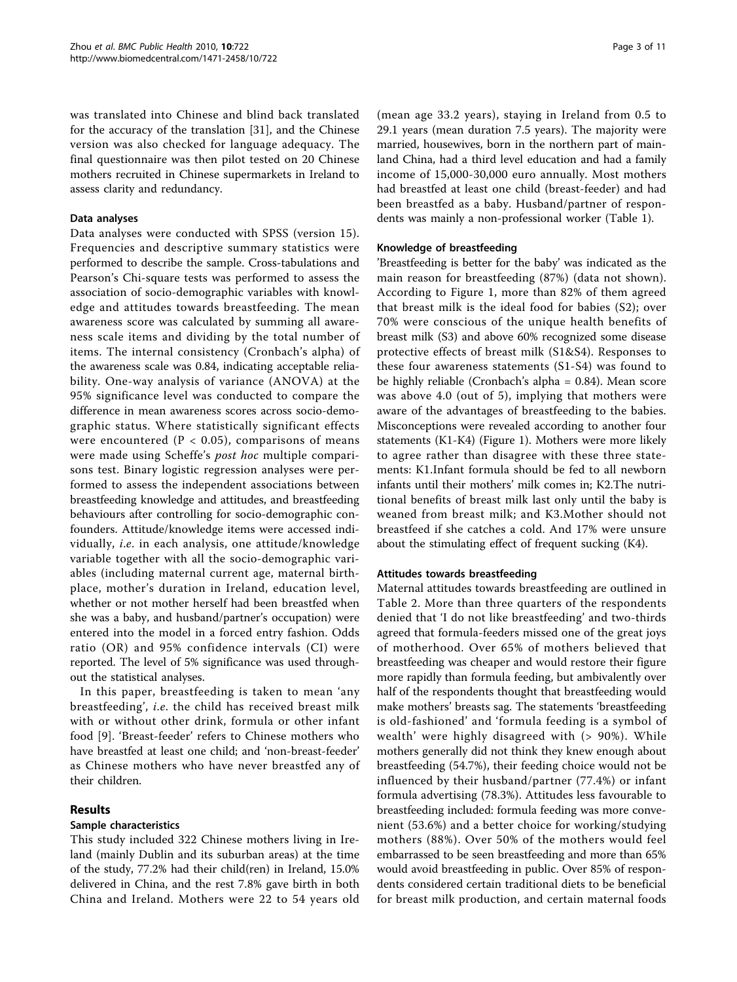was translated into Chinese and blind back translated for the accuracy of the translation [[31\]](#page-9-0), and the Chinese version was also checked for language adequacy. The final questionnaire was then pilot tested on 20 Chinese mothers recruited in Chinese supermarkets in Ireland to assess clarity and redundancy.

## Data analyses

Data analyses were conducted with SPSS (version 15). Frequencies and descriptive summary statistics were performed to describe the sample. Cross-tabulations and Pearson's Chi-square tests was performed to assess the association of socio-demographic variables with knowledge and attitudes towards breastfeeding. The mean awareness score was calculated by summing all awareness scale items and dividing by the total number of items. The internal consistency (Cronbach's alpha) of the awareness scale was 0.84, indicating acceptable reliability. One-way analysis of variance (ANOVA) at the 95% significance level was conducted to compare the difference in mean awareness scores across socio-demographic status. Where statistically significant effects were encountered ( $P < 0.05$ ), comparisons of means were made using Scheffe'<sup>s</sup> post hoc multiple comparisons test. Binary logistic regression analyses were performed to assess the independent associations between breastfeeding knowledge and attitudes, and breastfeeding behaviours after controlling for socio-demographic confounders. Attitude/knowledge items were accessed individually, i.e. in each analysis, one attitude/knowledge variable together with all the socio-demographic variables (including maternal current age, maternal birthplace, mother's duration in Ireland, education level, whether or not mother herself had been breastfed when she was a baby, and husband/partner's occupation) were entered into the model in a forced entry fashion. Odds ratio (OR) and 95% confidence intervals (CI) were reported. The level of 5% significance was used throughout the statistical analyses.

In this paper, breastfeeding is taken to mean 'any breastfeeding', i.e. the child has received breast milk with or without other drink, formula or other infant food [\[9](#page-9-0)]. 'Breast-feeder' refers to Chinese mothers who have breastfed at least one child; and 'non-breast-feeder' as Chinese mothers who have never breastfed any of their children.

## Results

#### Sample characteristics

This study included 322 Chinese mothers living in Ireland (mainly Dublin and its suburban areas) at the time of the study, 77.2% had their child(ren) in Ireland, 15.0% delivered in China, and the rest 7.8% gave birth in both China and Ireland. Mothers were 22 to 54 years old

(mean age 33.2 years), staying in Ireland from 0.5 to 29.1 years (mean duration 7.5 years). The majority were married, housewives, born in the northern part of mainland China, had a third level education and had a family income of 15,000-30,000 euro annually. Most mothers had breastfed at least one child (breast-feeder) and had been breastfed as a baby. Husband/partner of respondents was mainly a non-professional worker (Table [1](#page-3-0)).

## Knowledge of breastfeeding

'Breastfeeding is better for the baby' was indicated as the main reason for breastfeeding (87%) (data not shown). According to Figure [1,](#page-4-0) more than 82% of them agreed that breast milk is the ideal food for babies (S2); over 70% were conscious of the unique health benefits of breast milk (S3) and above 60% recognized some disease protective effects of breast milk (S1&S4). Responses to these four awareness statements (S1-S4) was found to be highly reliable (Cronbach's alpha = 0.84). Mean score was above 4.0 (out of 5), implying that mothers were aware of the advantages of breastfeeding to the babies. Misconceptions were revealed according to another four statements (K1-K4) (Figure [1](#page-4-0)). Mothers were more likely to agree rather than disagree with these three statements: K1.Infant formula should be fed to all newborn infants until their mothers' milk comes in; K2.The nutritional benefits of breast milk last only until the baby is weaned from breast milk; and K3.Mother should not breastfeed if she catches a cold. And 17% were unsure about the stimulating effect of frequent sucking (K4).

## Attitudes towards breastfeeding

Maternal attitudes towards breastfeeding are outlined in Table [2.](#page-4-0) More than three quarters of the respondents denied that 'I do not like breastfeeding' and two-thirds agreed that formula-feeders missed one of the great joys of motherhood. Over 65% of mothers believed that breastfeeding was cheaper and would restore their figure more rapidly than formula feeding, but ambivalently over half of the respondents thought that breastfeeding would make mothers' breasts sag. The statements 'breastfeeding is old-fashioned' and 'formula feeding is a symbol of wealth' were highly disagreed with (> 90%). While mothers generally did not think they knew enough about breastfeeding (54.7%), their feeding choice would not be influenced by their husband/partner (77.4%) or infant formula advertising (78.3%). Attitudes less favourable to breastfeeding included: formula feeding was more convenient (53.6%) and a better choice for working/studying mothers (88%). Over 50% of the mothers would feel embarrassed to be seen breastfeeding and more than 65% would avoid breastfeeding in public. Over 85% of respondents considered certain traditional diets to be beneficial for breast milk production, and certain maternal foods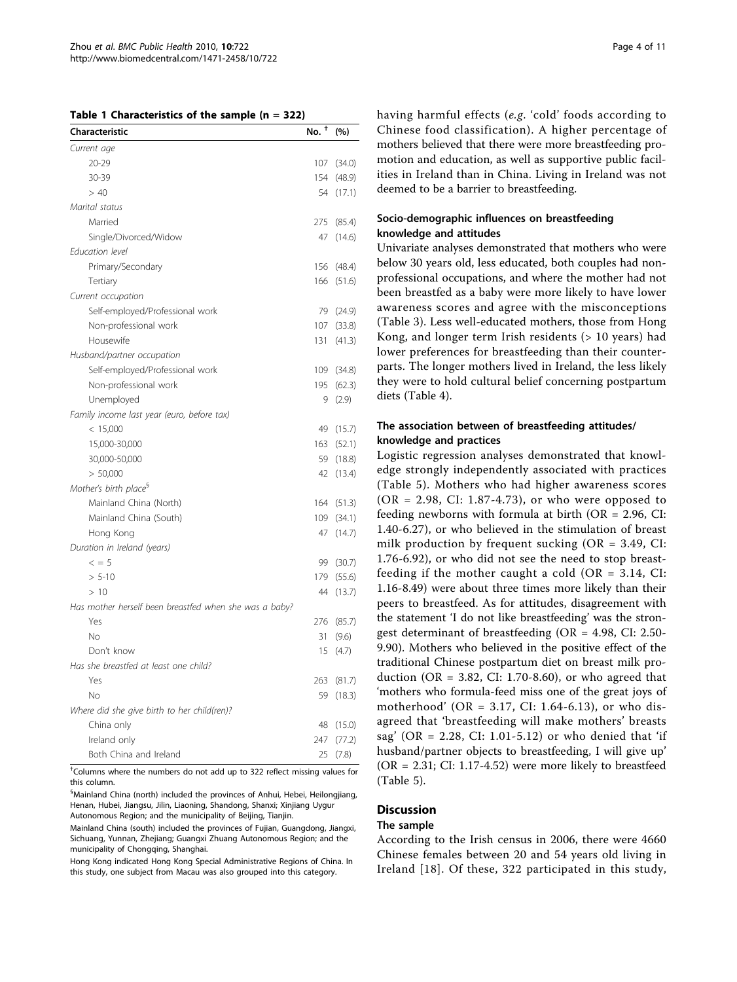<span id="page-3-0"></span>

|  |  | Table 1 Characteristics of the sample $(n = 322)$ |  |  |  |  |  |
|--|--|---------------------------------------------------|--|--|--|--|--|
|--|--|---------------------------------------------------|--|--|--|--|--|

| Characteristic                                         | No. $^{\dagger}$ | (%)        |
|--------------------------------------------------------|------------------|------------|
| Current age                                            |                  |            |
| $20 - 29$                                              | 107              | (34.0)     |
| 30-39                                                  | 154              | (48.9)     |
| > 40                                                   | 54               | (17.1)     |
| Marital status                                         |                  |            |
| Married                                                | 275              | (85.4)     |
| Single/Divorced/Widow                                  | 47               | (14.6)     |
| Education level                                        |                  |            |
| Primary/Secondary                                      | 156              | (48.4)     |
| Tertiary                                               | 166              | (51.6)     |
| Current occupation                                     |                  |            |
| Self-employed/Professional work                        | 79               | (24.9)     |
| Non-professional work                                  | 107              | (33.8)     |
| Housewife                                              | 131              | (41.3)     |
| Husband/partner occupation                             |                  |            |
| Self-employed/Professional work                        | 109              | (34.8)     |
| Non-professional work                                  | 195              | (62.3)     |
| Unemployed                                             | 9                | (2.9)      |
| Family income last year (euro, before tax)             |                  |            |
| < 15,000                                               | 49               | (15.7)     |
| 15,000-30,000                                          | 163              | (52.1)     |
| 30,000-50,000                                          | 59               | (18.8)     |
| > 50,000                                               | 42               | (13.4)     |
| Mother's birth place <sup>§</sup>                      |                  |            |
| Mainland China (North)                                 |                  | 164 (51.3) |
| Mainland China (South)                                 | 109              | (34.1)     |
| Hong Kong                                              | 47               | (14.7)     |
| Duration in Ireland (years)                            |                  |            |
| $\leq$ = 5                                             | 99               | (30.7)     |
| $> 5 - 10$                                             | 179              | (55.6)     |
| >10                                                    | 44               | (13.7)     |
| Has mother herself been breastfed when she was a baby? |                  |            |
| Yes                                                    | 276              | (85.7)     |
| <b>No</b>                                              | 31               | (9.6)      |
| Don't know                                             | 15               | (4.7)      |
| Has she breastfed at least one child?                  |                  |            |
| Yes                                                    | 263              | (81.7)     |
| No                                                     | 59               | (18.3)     |
| Where did she give birth to her child(ren)?            |                  |            |
| China only                                             | 48               | (15.0)     |
| Ireland only                                           | 247              | (77.2)     |
| Both China and Ireland                                 | 25               | (7.8)      |

† Columns where the numbers do not add up to 322 reflect missing values for this column.

§ Mainland China (north) included the provinces of Anhui, Hebei, Heilongjiang, Henan, Hubei, Jiangsu, Jilin, Liaoning, Shandong, Shanxi; Xinjiang Uygur Autonomous Region; and the municipality of Beijing, Tianjin.

Mainland China (south) included the provinces of Fujian, Guangdong, Jiangxi, Sichuang, Yunnan, Zhejiang; Guangxi Zhuang Autonomous Region; and the municipality of Chongqing, Shanghai.

Hong Kong indicated Hong Kong Special Administrative Regions of China. In this study, one subject from Macau was also grouped into this category.

having harmful effects (e.g. 'cold' foods according to Chinese food classification). A higher percentage of mothers believed that there were more breastfeeding promotion and education, as well as supportive public facilities in Ireland than in China. Living in Ireland was not deemed to be a barrier to breastfeeding.

## Socio-demographic influences on breastfeeding knowledge and attitudes

Univariate analyses demonstrated that mothers who were below 30 years old, less educated, both couples had nonprofessional occupations, and where the mother had not been breastfed as a baby were more likely to have lower awareness scores and agree with the misconceptions (Table [3](#page-5-0)). Less well-educated mothers, those from Hong Kong, and longer term Irish residents (> 10 years) had lower preferences for breastfeeding than their counterparts. The longer mothers lived in Ireland, the less likely they were to hold cultural belief concerning postpartum diets (Table [4](#page-6-0)).

## The association between of breastfeeding attitudes/ knowledge and practices

Logistic regression analyses demonstrated that knowledge strongly independently associated with practices (Table [5\)](#page-6-0). Mothers who had higher awareness scores  $(OR = 2.98, CI: 1.87-4.73)$ , or who were opposed to feeding newborns with formula at birth (OR = 2.96, CI: 1.40-6.27), or who believed in the stimulation of breast milk production by frequent sucking (OR = 3.49, CI: 1.76-6.92), or who did not see the need to stop breastfeeding if the mother caught a cold (OR =  $3.14$ , CI: 1.16-8.49) were about three times more likely than their peers to breastfeed. As for attitudes, disagreement with the statement 'I do not like breastfeeding' was the strongest determinant of breastfeeding (OR = 4.98, CI: 2.50- 9.90). Mothers who believed in the positive effect of the traditional Chinese postpartum diet on breast milk production (OR = 3.82, CI: 1.70-8.60), or who agreed that 'mothers who formula-feed miss one of the great joys of motherhood' (OR = 3.17, CI: 1.64-6.13), or who disagreed that 'breastfeeding will make mothers' breasts sag' (OR = 2.28, CI: 1.01-5.12) or who denied that 'if husband/partner objects to breastfeeding, I will give up'  $(OR = 2.31; CI: 1.17-4.52)$  were more likely to breastfeed (Table [5\)](#page-6-0).

# **Discussion**

## The sample

According to the Irish census in 2006, there were 4660 Chinese females between 20 and 54 years old living in Ireland [[18](#page-9-0)]. Of these, 322 participated in this study,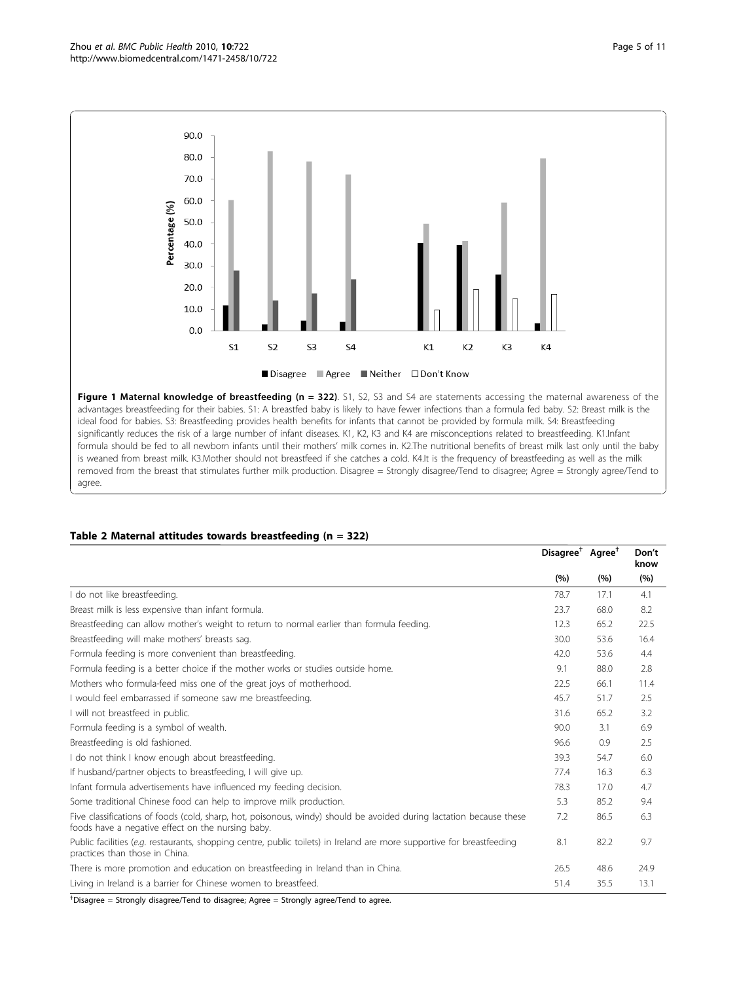<span id="page-4-0"></span>

Figure 1 Maternal knowledge of breastfeeding (n = 322). S1, S2, S3 and S4 are statements accessing the maternal awareness of the advantages breastfeeding for their babies. S1: A breastfed baby is likely to have fewer infections than a formula fed baby. S2: Breast milk is the ideal food for babies. S3: Breastfeeding provides health benefits for infants that cannot be provided by formula milk. S4: Breastfeeding significantly reduces the risk of a large number of infant diseases. K1, K2, K3 and K4 are misconceptions related to breastfeeding. K1.Infant formula should be fed to all newborn infants until their mothers' milk comes in. K2.The nutritional benefits of breast milk last only until the baby is weaned from breast milk. K3.Mother should not breastfeed if she catches a cold. K4.It is the frequency of breastfeeding as well as the milk removed from the breast that stimulates further milk production. Disagree = Strongly disagree/Tend to disagree; Agree = Strongly agree/Tend to agree.

## Table 2 Maternal attitudes towards breastfeeding (n = 322)

|                                                                                                                                                                          | Disagree <sup>†</sup> Agree <sup>†</sup> |      | Don't<br>know |
|--------------------------------------------------------------------------------------------------------------------------------------------------------------------------|------------------------------------------|------|---------------|
|                                                                                                                                                                          | (%)                                      | (%)  | (%)           |
| I do not like breastfeeding.                                                                                                                                             | 78.7                                     | 17.1 | 4.1           |
| Breast milk is less expensive than infant formula.                                                                                                                       | 23.7                                     | 68.0 | 8.2           |
| Breastfeeding can allow mother's weight to return to normal earlier than formula feeding.                                                                                | 12.3                                     | 65.2 | 22.5          |
| Breastfeeding will make mothers' breasts sag.                                                                                                                            | 30.0                                     | 53.6 | 16.4          |
| Formula feeding is more convenient than breastfeeding.                                                                                                                   | 42.0                                     | 53.6 | 4.4           |
| Formula feeding is a better choice if the mother works or studies outside home.                                                                                          | 9.1                                      | 88.0 | 2.8           |
| Mothers who formula-feed miss one of the great joys of motherhood.                                                                                                       | 22.5                                     | 66.1 | 11.4          |
| I would feel embarrassed if someone saw me breastfeeding.                                                                                                                | 45.7                                     | 51.7 | 2.5           |
| I will not breastfeed in public.                                                                                                                                         | 31.6                                     | 65.2 | 3.2           |
| Formula feeding is a symbol of wealth.                                                                                                                                   | 90.0                                     | 3.1  | 6.9           |
| Breastfeeding is old fashioned.                                                                                                                                          | 96.6                                     | 0.9  | 2.5           |
| I do not think I know enough about breastfeeding.                                                                                                                        | 39.3                                     | 54.7 | 6.0           |
| If husband/partner objects to breastfeeding, I will give up.                                                                                                             | 77.4                                     | 16.3 | 6.3           |
| Infant formula advertisements have influenced my feeding decision.                                                                                                       | 78.3                                     | 17.0 | 4.7           |
| Some traditional Chinese food can help to improve milk production.                                                                                                       | 5.3                                      | 85.2 | 9.4           |
| Five classifications of foods (cold, sharp, hot, poisonous, windy) should be avoided during lactation because these<br>foods have a negative effect on the nursing baby. | 7.2                                      | 86.5 | 6.3           |
| Public facilities (e.g. restaurants, shopping centre, public toilets) in Ireland are more supportive for breastfeeding<br>practices than those in China.                 | 8.1                                      | 82.2 | 9.7           |
| There is more promotion and education on breastfeeding in Ireland than in China.                                                                                         | 26.5                                     | 48.6 | 24.9          |
| Living in Ireland is a barrier for Chinese women to breastfeed.                                                                                                          | 51.4                                     | 35.5 | 13.1          |

† Disagree = Strongly disagree/Tend to disagree; Agree = Strongly agree/Tend to agree.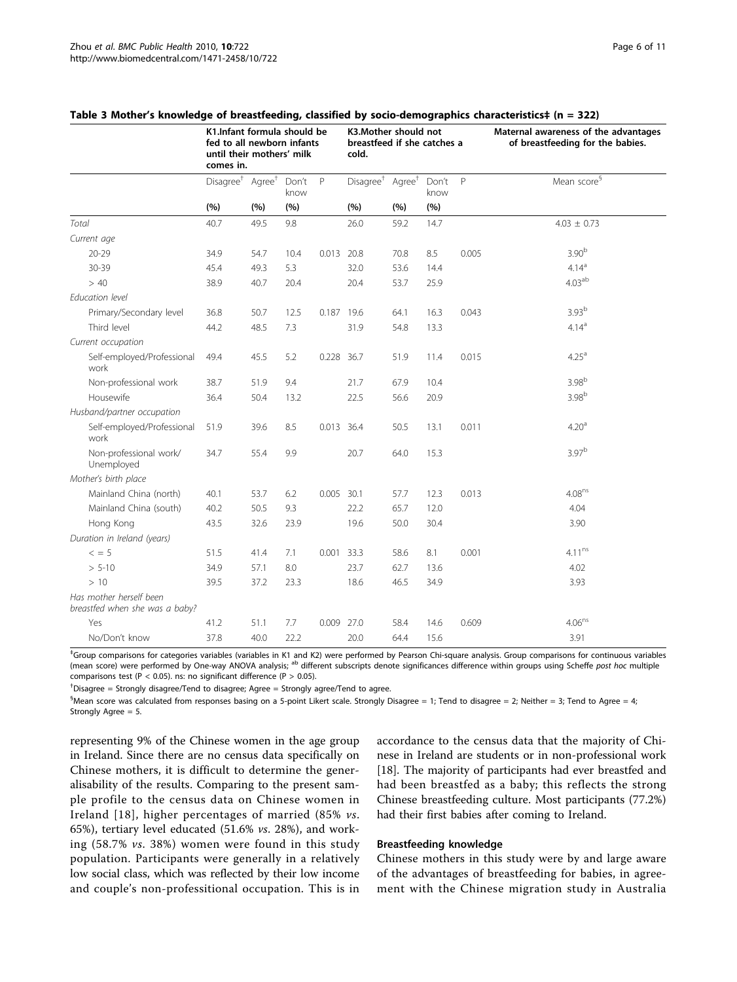|                                                           | K1.Infant formula should be<br>fed to all newborn infants<br>until their mothers' milk<br>comes in. |                    |               |            | K3.Mother should not<br>breastfeed if she catches a<br>cold. |                    |               |       | Maternal awareness of the advantages<br>of breastfeeding for the babies. |  |
|-----------------------------------------------------------|-----------------------------------------------------------------------------------------------------|--------------------|---------------|------------|--------------------------------------------------------------|--------------------|---------------|-------|--------------------------------------------------------------------------|--|
|                                                           | Disagree <sup>†</sup>                                                                               | Agree <sup>+</sup> | Don't<br>know | P          | Disagree <sup>†</sup>                                        | Agree <sup>+</sup> | Don't<br>know | P     | Mean score <sup>§</sup>                                                  |  |
|                                                           | (%)                                                                                                 | (%)                | (%)           |            | (%)                                                          | (%)                | (%)           |       |                                                                          |  |
| Total                                                     | 40.7                                                                                                | 49.5               | 9.8           |            | 26.0                                                         | 59.2               | 14.7          |       | $4.03 \pm 0.73$                                                          |  |
| Current age                                               |                                                                                                     |                    |               |            |                                                              |                    |               |       |                                                                          |  |
| $20 - 29$                                                 | 34.9                                                                                                | 54.7               | 10.4          | 0.013      | 20.8                                                         | 70.8               | 8.5           | 0.005 | 3.90 <sup>b</sup>                                                        |  |
| 30-39                                                     | 45.4                                                                                                | 49.3               | 5.3           |            | 32.0                                                         | 53.6               | 14.4          |       | 4.14 <sup>a</sup>                                                        |  |
| > 40                                                      | 38.9                                                                                                | 40.7               | 20.4          |            | 20.4                                                         | 53.7               | 25.9          |       | 4.03 <sup>ab</sup>                                                       |  |
| Education level                                           |                                                                                                     |                    |               |            |                                                              |                    |               |       |                                                                          |  |
| Primary/Secondary level                                   | 36.8                                                                                                | 50.7               | 12.5          | 0.187      | 19.6                                                         | 64.1               | 16.3          | 0.043 | 3.93 <sup>b</sup>                                                        |  |
| Third level                                               | 44.2                                                                                                | 48.5               | 7.3           |            | 31.9                                                         | 54.8               | 13.3          |       | 4.14 <sup>a</sup>                                                        |  |
| Current occupation                                        |                                                                                                     |                    |               |            |                                                              |                    |               |       |                                                                          |  |
| Self-employed/Professional<br>work                        | 49.4                                                                                                | 45.5               | 5.2           | 0.228 36.7 |                                                              | 51.9               | 11.4          | 0.015 | 4.25 <sup>a</sup>                                                        |  |
| Non-professional work                                     | 38.7                                                                                                | 51.9               | 9.4           |            | 21.7                                                         | 67.9               | 10.4          |       | 3.98 <sup>b</sup>                                                        |  |
| Housewife                                                 | 36.4                                                                                                | 50.4               | 13.2          |            | 22.5                                                         | 56.6               | 20.9          |       | 3.98 <sup>b</sup>                                                        |  |
| Husband/partner occupation                                |                                                                                                     |                    |               |            |                                                              |                    |               |       |                                                                          |  |
| Self-employed/Professional<br>work                        | 51.9                                                                                                | 39.6               | 8.5           | 0.013 36.4 |                                                              | 50.5               | 13.1          | 0.011 | 4.20 <sup>a</sup>                                                        |  |
| Non-professional work/<br>Unemployed                      | 34.7                                                                                                | 55.4               | 9.9           |            | 20.7                                                         | 64.0               | 15.3          |       | $3.97^{b}$                                                               |  |
| Mother's birth place                                      |                                                                                                     |                    |               |            |                                                              |                    |               |       |                                                                          |  |
| Mainland China (north)                                    | 40.1                                                                                                | 53.7               | 6.2           | 0.005      | 30.1                                                         | 57.7               | 12.3          | 0.013 | $4.08^{ns}$                                                              |  |
| Mainland China (south)                                    | 40.2                                                                                                | 50.5               | 9.3           |            | 22.2                                                         | 65.7               | 12.0          |       | 4.04                                                                     |  |
| Hong Kong                                                 | 43.5                                                                                                | 32.6               | 23.9          |            | 19.6                                                         | 50.0               | 30.4          |       | 3.90                                                                     |  |
| Duration in Ireland (years)                               |                                                                                                     |                    |               |            |                                                              |                    |               |       |                                                                          |  |
| $\leq$ = 5                                                | 51.5                                                                                                | 41.4               | 7.1           | 0.001 33.3 |                                                              | 58.6               | 8.1           | 0.001 | $4.11^{ns}$                                                              |  |
| $> 5 - 10$                                                | 34.9                                                                                                | 57.1               | 8.0           |            | 23.7                                                         | 62.7               | 13.6          |       | 4.02                                                                     |  |
| >10                                                       | 39.5                                                                                                | 37.2               | 23.3          |            | 18.6                                                         | 46.5               | 34.9          |       | 3.93                                                                     |  |
| Has mother herself been<br>breastfed when she was a baby? |                                                                                                     |                    |               |            |                                                              |                    |               |       |                                                                          |  |
| Yes                                                       | 41.2                                                                                                | 51.1               | 7.7           | 0.009      | 27.0                                                         | 58.4               | 14.6          | 0.609 | $4.06^{ns}$                                                              |  |
| No/Don't know                                             | 37.8                                                                                                | 40.0               | 22.2          |            | 20.0                                                         | 64.4               | 15.6          |       | 3.91                                                                     |  |

#### <span id="page-5-0"></span>Table 3 Mother's knowledge of breastfeeding, classified by socio-demographics characteristics‡ (n = 322)

‡ Group comparisons for categories variables (variables in K1 and K2) were performed by Pearson Chi-square analysis. Group comparisons for continuous variables (mean score) were performed by One-way ANOVA analysis; <sup>ab</sup> different subscripts denote significances difference within groups using Scheffe post hoc multiple comparisons test (P < 0.05). ns: no significant difference (P > 0.05).

† Disagree = Strongly disagree/Tend to disagree; Agree = Strongly agree/Tend to agree.

 $^{\$}$ Mean score was calculated from responses basing on a 5-point Likert scale. Strongly Disagree = 1; Tend to disagree = 2; Neither = 3; Tend to Agree = 4; Strongly Agree = 5.

representing 9% of the Chinese women in the age group in Ireland. Since there are no census data specifically on Chinese mothers, it is difficult to determine the generalisability of the results. Comparing to the present sample profile to the census data on Chinese women in Ireland [[18](#page-9-0)], higher percentages of married (85% vs. 65%), tertiary level educated (51.6% vs. 28%), and working (58.7% vs. 38%) women were found in this study population. Participants were generally in a relatively low social class, which was reflected by their low income and couple's non-professitional occupation. This is in accordance to the census data that the majority of Chinese in Ireland are students or in non-professional work [[18\]](#page-9-0). The majority of participants had ever breastfed and had been breastfed as a baby; this reflects the strong Chinese breastfeeding culture. Most participants (77.2%) had their first babies after coming to Ireland.

#### Breastfeeding knowledge

Chinese mothers in this study were by and large aware of the advantages of breastfeeding for babies, in agreement with the Chinese migration study in Australia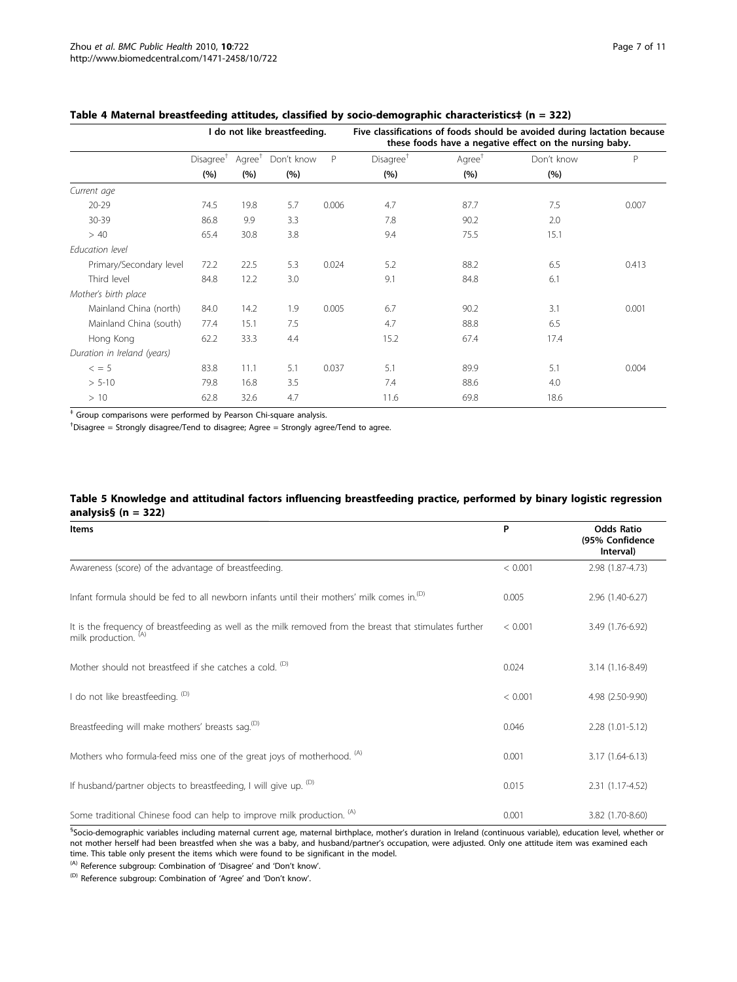|                             | I do not like breastfeeding. |                    |            |       | Five classifications of foods should be avoided during lactation because<br>these foods have a negative effect on the nursing baby. |                       |            |       |  |
|-----------------------------|------------------------------|--------------------|------------|-------|-------------------------------------------------------------------------------------------------------------------------------------|-----------------------|------------|-------|--|
|                             | Disagree <sup>†</sup>        | Agree <sup>+</sup> | Don't know | P     | Disagree <sup>+</sup>                                                                                                               | $A$ gree <sup>†</sup> | Don't know | P     |  |
|                             | (%)                          | (%)                | (%)        |       | (%)                                                                                                                                 | (%)                   | (%)        |       |  |
| Current age                 |                              |                    |            |       |                                                                                                                                     |                       |            |       |  |
| $20 - 29$                   | 74.5                         | 19.8               | 5.7        | 0.006 | 4.7                                                                                                                                 | 87.7                  | 7.5        | 0.007 |  |
| 30-39                       | 86.8                         | 9.9                | 3.3        |       | 7.8                                                                                                                                 | 90.2                  | 2.0        |       |  |
| >40                         | 65.4                         | 30.8               | 3.8        |       | 9.4                                                                                                                                 | 75.5                  | 15.1       |       |  |
| Education level             |                              |                    |            |       |                                                                                                                                     |                       |            |       |  |
| Primary/Secondary level     | 72.2                         | 22.5               | 5.3        | 0.024 | 5.2                                                                                                                                 | 88.2                  | 6.5        | 0.413 |  |
| Third level                 | 84.8                         | 12.2               | 3.0        |       | 9.1                                                                                                                                 | 84.8                  | 6.1        |       |  |
| Mother's birth place        |                              |                    |            |       |                                                                                                                                     |                       |            |       |  |
| Mainland China (north)      | 84.0                         | 14.2               | 1.9        | 0.005 | 6.7                                                                                                                                 | 90.2                  | 3.1        | 0.001 |  |
| Mainland China (south)      | 77.4                         | 15.1               | 7.5        |       | 4.7                                                                                                                                 | 88.8                  | 6.5        |       |  |
| Hong Kong                   | 62.2                         | 33.3               | 4.4        |       | 15.2                                                                                                                                | 67.4                  | 17.4       |       |  |
| Duration in Ireland (years) |                              |                    |            |       |                                                                                                                                     |                       |            |       |  |
| $\leq$ = 5                  | 83.8                         | 11.1               | 5.1        | 0.037 | 5.1                                                                                                                                 | 89.9                  | 5.1        | 0.004 |  |
| $> 5-10$                    | 79.8                         | 16.8               | 3.5        |       | 7.4                                                                                                                                 | 88.6                  | 4.0        |       |  |
| >10                         | 62.8                         | 32.6               | 4.7        |       | 11.6                                                                                                                                | 69.8                  | 18.6       |       |  |

#### <span id="page-6-0"></span>Table 4 Maternal breastfeeding attitudes, classified by socio-demographic characteristics‡ (n = 322)

‡ Group comparisons were performed by Pearson Chi-square analysis.

† Disagree = Strongly disagree/Tend to disagree; Agree = Strongly agree/Tend to agree.

## Table 5 Knowledge and attitudinal factors influencing breastfeeding practice, performed by binary logistic regression analysis§ (n = 322)

| <b>Items</b>                                                                                                                     | P       | <b>Odds Ratio</b><br>(95% Confidence<br>Interval) |
|----------------------------------------------------------------------------------------------------------------------------------|---------|---------------------------------------------------|
| Awareness (score) of the advantage of breastfeeding.                                                                             | < 0.001 | 2.98 (1.87-4.73)                                  |
| Infant formula should be fed to all newborn infants until their mothers' milk comes in. <sup>(D)</sup>                           | 0.005   | 2.96 (1.40-6.27)                                  |
| It is the frequency of breastfeeding as well as the milk removed from the breast that stimulates further<br>milk production. (A) | < 0.001 | 3.49 (1.76-6.92)                                  |
| Mother should not breastfeed if she catches a cold. <sup>(D)</sup>                                                               | 0.024   | 3.14 (1.16-8.49)                                  |
| I do not like breastfeeding. (D)                                                                                                 | < 0.001 | 4.98 (2.50-9.90)                                  |
| Breastfeeding will make mothers' breasts sag. <sup>(D)</sup>                                                                     | 0.046   | $2.28(1.01-5.12)$                                 |
| Mothers who formula-feed miss one of the great joys of motherhood. <sup>(A)</sup>                                                | 0.001   | 3.17 (1.64-6.13)                                  |
| If husband/partner objects to breastfeeding, I will give up. <sup>(D)</sup>                                                      | 0.015   | 2.31 (1.17-4.52)                                  |
| Some traditional Chinese food can help to improve milk production. (A)                                                           | 0.001   | 3.82 (1.70-8.60)                                  |

§Socio-demographic variables including maternal current age, maternal birthplace, mother's duration in Ireland (continuous variable), education level, whether or not mother herself had been breastfed when she was a baby, and husband/partner's occupation, were adjusted. Only one attitude item was examined each time. This table only present the items which were found to be significant in the model.

(A) Reference subgroup: Combination of 'Disagree' and 'Don't know'.

(D) Reference subgroup: Combination of 'Agree' and 'Don't know'.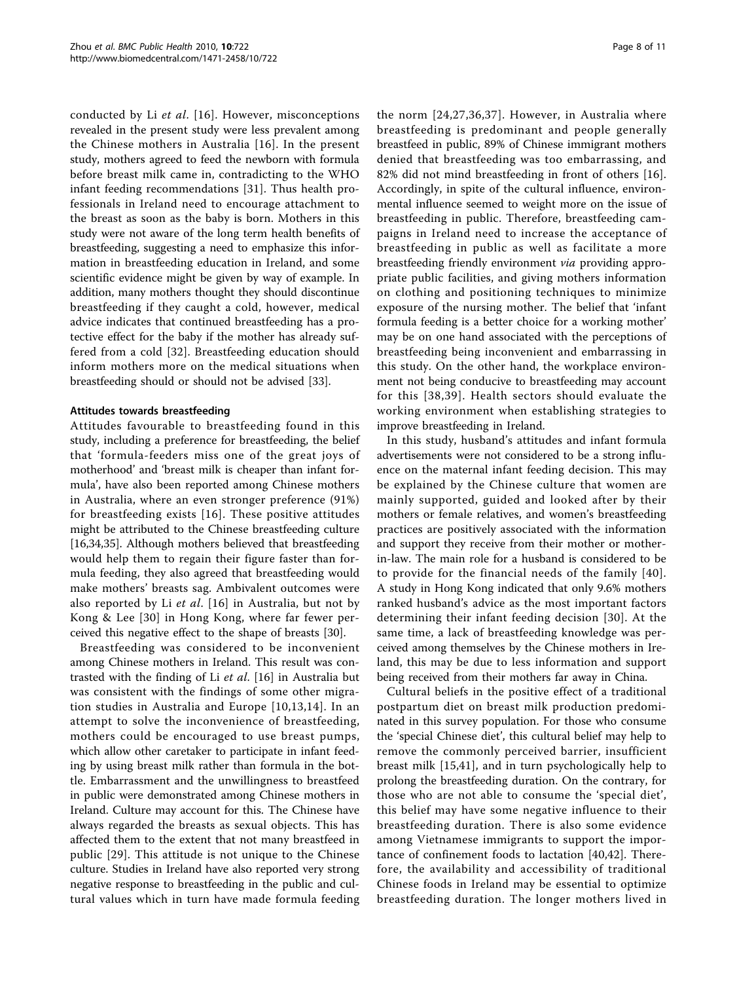conducted by Li et al. [[16](#page-9-0)]. However, misconceptions revealed in the present study were less prevalent among the Chinese mothers in Australia [[16](#page-9-0)]. In the present study, mothers agreed to feed the newborn with formula before breast milk came in, contradicting to the WHO infant feeding recommendations [[31\]](#page-9-0). Thus health professionals in Ireland need to encourage attachment to the breast as soon as the baby is born. Mothers in this study were not aware of the long term health benefits of breastfeeding, suggesting a need to emphasize this information in breastfeeding education in Ireland, and some scientific evidence might be given by way of example. In addition, many mothers thought they should discontinue breastfeeding if they caught a cold, however, medical advice indicates that continued breastfeeding has a protective effect for the baby if the mother has already suffered from a cold [[32](#page-9-0)]. Breastfeeding education should inform mothers more on the medical situations when breastfeeding should or should not be advised [\[33](#page-9-0)].

## Attitudes towards breastfeeding

Attitudes favourable to breastfeeding found in this study, including a preference for breastfeeding, the belief that 'formula-feeders miss one of the great joys of motherhood' and 'breast milk is cheaper than infant formula', have also been reported among Chinese mothers in Australia, where an even stronger preference (91%) for breastfeeding exists [[16](#page-9-0)]. These positive attitudes might be attributed to the Chinese breastfeeding culture [[16,34,35\]](#page-9-0). Although mothers believed that breastfeeding would help them to regain their figure faster than formula feeding, they also agreed that breastfeeding would make mothers' breasts sag. Ambivalent outcomes were also reported by Li  $et$  al. [\[16\]](#page-9-0) in Australia, but not by Kong & Lee [[30](#page-9-0)] in Hong Kong, where far fewer perceived this negative effect to the shape of breasts [[30](#page-9-0)].

Breastfeeding was considered to be inconvenient among Chinese mothers in Ireland. This result was contrasted with the finding of Li et al. [[16](#page-9-0)] in Australia but was consistent with the findings of some other migration studies in Australia and Europe [[10,13,14](#page-9-0)]. In an attempt to solve the inconvenience of breastfeeding, mothers could be encouraged to use breast pumps, which allow other caretaker to participate in infant feeding by using breast milk rather than formula in the bottle. Embarrassment and the unwillingness to breastfeed in public were demonstrated among Chinese mothers in Ireland. Culture may account for this. The Chinese have always regarded the breasts as sexual objects. This has affected them to the extent that not many breastfeed in public [[29\]](#page-9-0). This attitude is not unique to the Chinese culture. Studies in Ireland have also reported very strong negative response to breastfeeding in the public and cultural values which in turn have made formula feeding

the norm [[24,27](#page-9-0),[36](#page-9-0),[37](#page-9-0)]. However, in Australia where breastfeeding is predominant and people generally breastfeed in public, 89% of Chinese immigrant mothers denied that breastfeeding was too embarrassing, and 82% did not mind breastfeeding in front of others [\[16](#page-9-0)]. Accordingly, in spite of the cultural influence, environmental influence seemed to weight more on the issue of breastfeeding in public. Therefore, breastfeeding campaigns in Ireland need to increase the acceptance of breastfeeding in public as well as facilitate a more breastfeeding friendly environment via providing appropriate public facilities, and giving mothers information on clothing and positioning techniques to minimize exposure of the nursing mother. The belief that 'infant formula feeding is a better choice for a working mother' may be on one hand associated with the perceptions of breastfeeding being inconvenient and embarrassing in this study. On the other hand, the workplace environment not being conducive to breastfeeding may account for this [[38,39](#page-9-0)]. Health sectors should evaluate the working environment when establishing strategies to

In this study, husband's attitudes and infant formula advertisements were not considered to be a strong influence on the maternal infant feeding decision. This may be explained by the Chinese culture that women are mainly supported, guided and looked after by their mothers or female relatives, and women's breastfeeding practices are positively associated with the information and support they receive from their mother or motherin-law. The main role for a husband is considered to be to provide for the financial needs of the family [[40\]](#page-9-0). A study in Hong Kong indicated that only 9.6% mothers ranked husband's advice as the most important factors determining their infant feeding decision [[30\]](#page-9-0). At the same time, a lack of breastfeeding knowledge was perceived among themselves by the Chinese mothers in Ireland, this may be due to less information and support being received from their mothers far away in China.

improve breastfeeding in Ireland.

Cultural beliefs in the positive effect of a traditional postpartum diet on breast milk production predominated in this survey population. For those who consume the 'special Chinese diet', this cultural belief may help to remove the commonly perceived barrier, insufficient breast milk [[15,41](#page-9-0)], and in turn psychologically help to prolong the breastfeeding duration. On the contrary, for those who are not able to consume the 'special diet', this belief may have some negative influence to their breastfeeding duration. There is also some evidence among Vietnamese immigrants to support the importance of confinement foods to lactation [[40,](#page-9-0)[42](#page-10-0)]. Therefore, the availability and accessibility of traditional Chinese foods in Ireland may be essential to optimize breastfeeding duration. The longer mothers lived in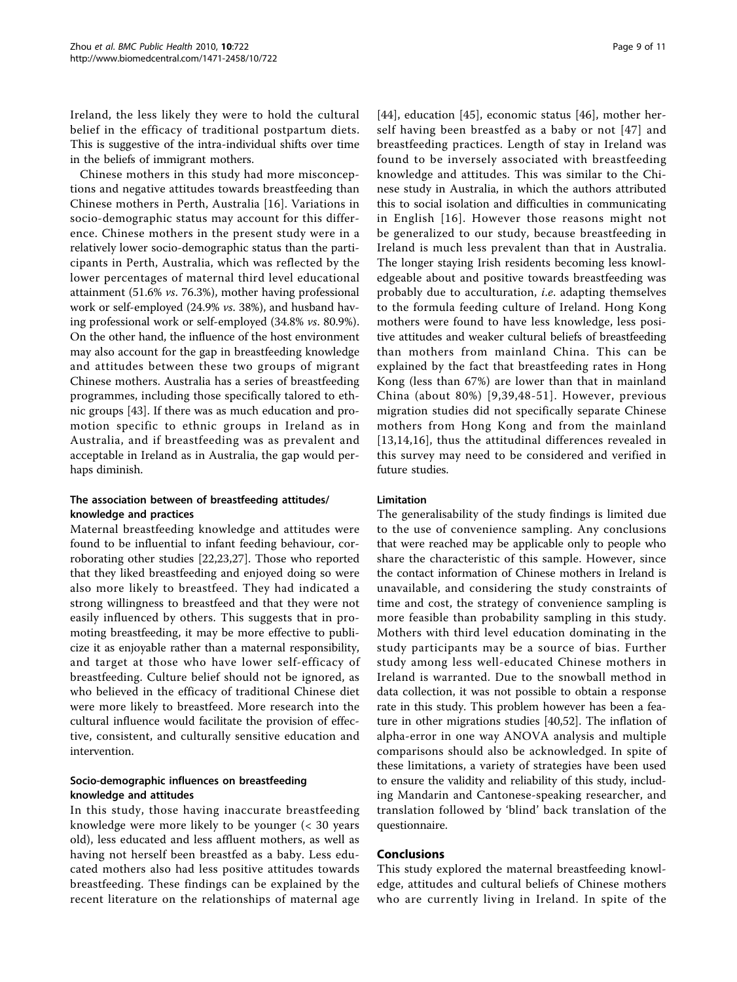Ireland, the less likely they were to hold the cultural belief in the efficacy of traditional postpartum diets. This is suggestive of the intra-individual shifts over time in the beliefs of immigrant mothers.

Chinese mothers in this study had more misconceptions and negative attitudes towards breastfeeding than Chinese mothers in Perth, Australia [[16\]](#page-9-0). Variations in socio-demographic status may account for this difference. Chinese mothers in the present study were in a relatively lower socio-demographic status than the participants in Perth, Australia, which was reflected by the lower percentages of maternal third level educational attainment (51.6% vs. 76.3%), mother having professional work or self-employed (24.9% vs. 38%), and husband having professional work or self-employed (34.8% vs. 80.9%). On the other hand, the influence of the host environment may also account for the gap in breastfeeding knowledge and attitudes between these two groups of migrant Chinese mothers. Australia has a series of breastfeeding programmes, including those specifically talored to ethnic groups [[43\]](#page-10-0). If there was as much education and promotion specific to ethnic groups in Ireland as in Australia, and if breastfeeding was as prevalent and acceptable in Ireland as in Australia, the gap would perhaps diminish.

# The association between of breastfeeding attitudes/ knowledge and practices

Maternal breastfeeding knowledge and attitudes were found to be influential to infant feeding behaviour, corroborating other studies [\[22](#page-9-0),[23](#page-9-0),[27](#page-9-0)]. Those who reported that they liked breastfeeding and enjoyed doing so were also more likely to breastfeed. They had indicated a strong willingness to breastfeed and that they were not easily influenced by others. This suggests that in promoting breastfeeding, it may be more effective to publicize it as enjoyable rather than a maternal responsibility, and target at those who have lower self-efficacy of breastfeeding. Culture belief should not be ignored, as who believed in the efficacy of traditional Chinese diet were more likely to breastfeed. More research into the cultural influence would facilitate the provision of effective, consistent, and culturally sensitive education and intervention.

# Socio-demographic influences on breastfeeding knowledge and attitudes

In this study, those having inaccurate breastfeeding knowledge were more likely to be younger (< 30 years old), less educated and less affluent mothers, as well as having not herself been breastfed as a baby. Less educated mothers also had less positive attitudes towards breastfeeding. These findings can be explained by the recent literature on the relationships of maternal age

[[44](#page-10-0)], education [[45\]](#page-10-0), economic status [\[46](#page-10-0)], mother herself having been breastfed as a baby or not [[47\]](#page-10-0) and breastfeeding practices. Length of stay in Ireland was found to be inversely associated with breastfeeding knowledge and attitudes. This was similar to the Chinese study in Australia, in which the authors attributed this to social isolation and difficulties in communicating in English [[16](#page-9-0)]. However those reasons might not be generalized to our study, because breastfeeding in Ireland is much less prevalent than that in Australia. The longer staying Irish residents becoming less knowledgeable about and positive towards breastfeeding was probably due to acculturation, i.e. adapting themselves to the formula feeding culture of Ireland. Hong Kong mothers were found to have less knowledge, less positive attitudes and weaker cultural beliefs of breastfeeding than mothers from mainland China. This can be explained by the fact that breastfeeding rates in Hong Kong (less than 67%) are lower than that in mainland China (about 80%) [\[9,39](#page-9-0),[48-51](#page-10-0)]. However, previous migration studies did not specifically separate Chinese mothers from Hong Kong and from the mainland [[13](#page-9-0),[14](#page-9-0),[16\]](#page-9-0), thus the attitudinal differences revealed in this survey may need to be considered and verified in future studies.

## Limitation

The generalisability of the study findings is limited due to the use of convenience sampling. Any conclusions that were reached may be applicable only to people who share the characteristic of this sample. However, since the contact information of Chinese mothers in Ireland is unavailable, and considering the study constraints of time and cost, the strategy of convenience sampling is more feasible than probability sampling in this study. Mothers with third level education dominating in the study participants may be a source of bias. Further study among less well-educated Chinese mothers in Ireland is warranted. Due to the snowball method in data collection, it was not possible to obtain a response rate in this study. This problem however has been a feature in other migrations studies [[40,](#page-9-0)[52\]](#page-10-0). The inflation of alpha-error in one way ANOVA analysis and multiple comparisons should also be acknowledged. In spite of these limitations, a variety of strategies have been used to ensure the validity and reliability of this study, including Mandarin and Cantonese-speaking researcher, and translation followed by 'blind' back translation of the questionnaire.

## Conclusions

This study explored the maternal breastfeeding knowledge, attitudes and cultural beliefs of Chinese mothers who are currently living in Ireland. In spite of the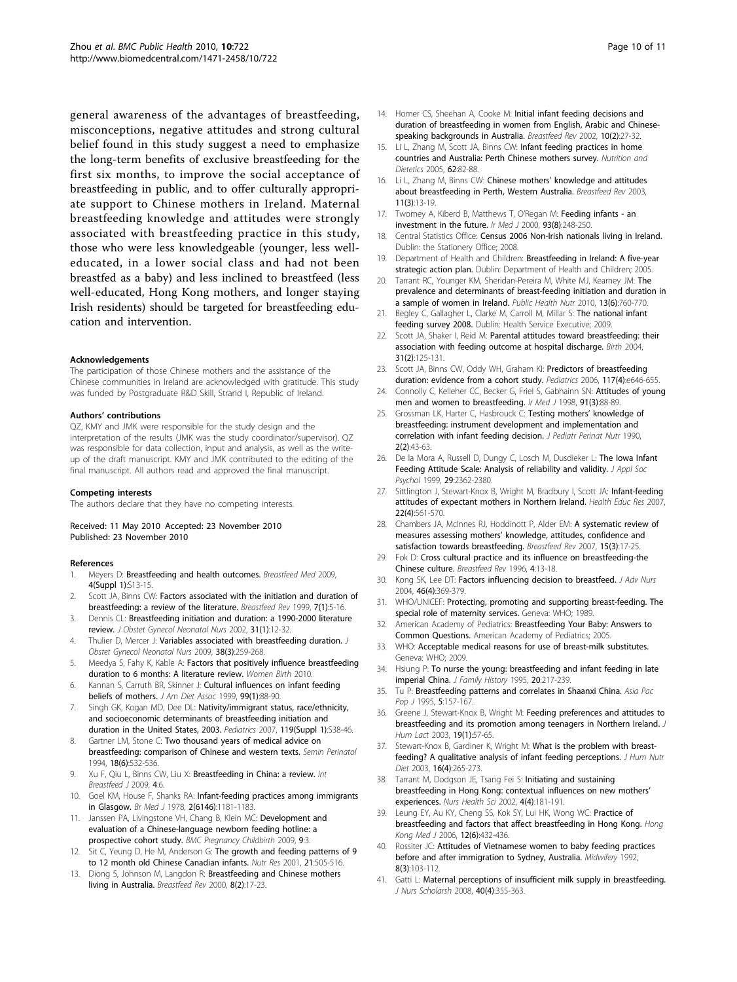<span id="page-9-0"></span>general awareness of the advantages of breastfeeding, misconceptions, negative attitudes and strong cultural belief found in this study suggest a need to emphasize the long-term benefits of exclusive breastfeeding for the first six months, to improve the social acceptance of breastfeeding in public, and to offer culturally appropriate support to Chinese mothers in Ireland. Maternal breastfeeding knowledge and attitudes were strongly associated with breastfeeding practice in this study, those who were less knowledgeable (younger, less welleducated, in a lower social class and had not been breastfed as a baby) and less inclined to breastfeed (less well-educated, Hong Kong mothers, and longer staying Irish residents) should be targeted for breastfeeding education and intervention.

#### Acknowledgements

The participation of those Chinese mothers and the assistance of the Chinese communities in Ireland are acknowledged with gratitude. This study was funded by Postgraduate R&D Skill, Strand I, Republic of Ireland.

#### Authors' contributions

QZ, KMY and JMK were responsible for the study design and the interpretation of the results (JMK was the study coordinator/supervisor). QZ was responsible for data collection, input and analysis, as well as the writeup of the draft manuscript. KMY and JMK contributed to the editing of the final manuscript. All authors read and approved the final manuscript.

#### Competing interests

The authors declare that they have no competing interests.

#### Received: 11 May 2010 Accepted: 23 November 2010 Published: 23 November 2010

#### References

- Meyers D: [Breastfeeding and health outcomes.](http://www.ncbi.nlm.nih.gov/pubmed/19827918?dopt=Abstract) Breastfeed Med 2009, 4(Suppl 1):S13-15.
- 2. Scott JA, Binns CW: [Factors associated with the initiation and duration of](http://www.ncbi.nlm.nih.gov/pubmed/10197366?dopt=Abstract) [breastfeeding: a review of the literature.](http://www.ncbi.nlm.nih.gov/pubmed/10197366?dopt=Abstract) Breastfeed Rev 1999, 7(1):5-16.
- 3. Dennis CL: [Breastfeeding initiation and duration: a 1990-2000 literature](http://www.ncbi.nlm.nih.gov/pubmed/11843016?dopt=Abstract) [review.](http://www.ncbi.nlm.nih.gov/pubmed/11843016?dopt=Abstract) J Obstet Gynecol Neonatal Nurs 2002, 31(1):12-32.
- 4. Thulier D, Mercer J: [Variables associated with breastfeeding duration.](http://www.ncbi.nlm.nih.gov/pubmed/19538614?dopt=Abstract) J Obstet Gynecol Neonatal Nurs 2009, 38(3):259-268.
- 5. Meedya S, Fahy K, Kable A: [Factors that positively influence breastfeeding](http://www.ncbi.nlm.nih.gov/pubmed/20299299?dopt=Abstract) [duration to 6 months: A literature review.](http://www.ncbi.nlm.nih.gov/pubmed/20299299?dopt=Abstract) Women Birth 2010.
- 6. Kannan S, Carruth BR, Skinner J: [Cultural influences on infant feeding](http://www.ncbi.nlm.nih.gov/pubmed/9917740?dopt=Abstract) [beliefs of mothers.](http://www.ncbi.nlm.nih.gov/pubmed/9917740?dopt=Abstract) J Am Diet Assoc 1999, 99(1):88-90.
- 7. Singh GK, Kogan MD, Dee DL: [Nativity/immigrant status, race/ethnicity,](http://www.ncbi.nlm.nih.gov/pubmed/17272583?dopt=Abstract) [and socioeconomic determinants of breastfeeding initiation and](http://www.ncbi.nlm.nih.gov/pubmed/17272583?dopt=Abstract) [duration in the United States, 2003.](http://www.ncbi.nlm.nih.gov/pubmed/17272583?dopt=Abstract) Pediatrics 2007, 119(Suppl 1):S38-46.
- 8. Gartner LM, Stone C: [Two thousand years of medical advice on](http://www.ncbi.nlm.nih.gov/pubmed/7701356?dopt=Abstract) [breastfeeding: comparison of Chinese and western texts.](http://www.ncbi.nlm.nih.gov/pubmed/7701356?dopt=Abstract) Semin Perinatol 1994, 18(6):532-536.
- 9. Xu F, Qiu L, Binns CW, Liu X: [Breastfeeding in China: a review.](http://www.ncbi.nlm.nih.gov/pubmed/19531253?dopt=Abstract) Int Breastfeed J 2009, 4:6.
- 10. Goel KM, House F, Shanks RA: [Infant-feeding practices among immigrants](http://www.ncbi.nlm.nih.gov/pubmed/719341?dopt=Abstract) [in Glasgow.](http://www.ncbi.nlm.nih.gov/pubmed/719341?dopt=Abstract) Br Med J 1978, 2(6146):1181-1183.
- 11. Janssen PA, Livingstone VH, Chang B, Klein MC: [Development and](http://www.ncbi.nlm.nih.gov/pubmed/19178746?dopt=Abstract) [evaluation of a Chinese-language newborn feeding hotline: a](http://www.ncbi.nlm.nih.gov/pubmed/19178746?dopt=Abstract) [prospective cohort study.](http://www.ncbi.nlm.nih.gov/pubmed/19178746?dopt=Abstract) BMC Pregnancy Childbirth 2009, 9:3.
- 12. Sit C, Yeung D, He M, Anderson G: The growth and feeding patterns of 9 to 12 month old Chinese Canadian infants. Nutr Res 2001, 21:505-516.
- 13. Diong S, Johnson M, Langdon R: [Breastfeeding and Chinese mothers](http://www.ncbi.nlm.nih.gov/pubmed/10941319?dopt=Abstract) [living in Australia.](http://www.ncbi.nlm.nih.gov/pubmed/10941319?dopt=Abstract) Breastfeed Rev 2000, 8(2):17-23.
- 14. Homer CS, Sheehan A, Cooke M: [Initial infant feeding decisions and](http://www.ncbi.nlm.nih.gov/pubmed/12227561?dopt=Abstract) [duration of breastfeeding in women from English, Arabic and Chinese](http://www.ncbi.nlm.nih.gov/pubmed/12227561?dopt=Abstract)[speaking backgrounds in Australia.](http://www.ncbi.nlm.nih.gov/pubmed/12227561?dopt=Abstract) Breastfeed Rev 2002, 10(2):27-32.
- 15. Li L, Zhang M, Scott JA, Binns CW: Infant feeding practices in home countries and Australia: Perth Chinese mothers survey. Nutrition and Dietetics 2005, 62:82-88.
- 16. Li L, Zhang M, Binns CW: Chinese mothers' [knowledge and attitudes](http://www.ncbi.nlm.nih.gov/pubmed/14768309?dopt=Abstract) [about breastfeeding in Perth, Western Australia.](http://www.ncbi.nlm.nih.gov/pubmed/14768309?dopt=Abstract) Breastfeed Rev 2003, 11(3):13-19.
- 17. Twomey A, Kiberd B, Matthews T, O'Regan M: [Feeding infants an](http://www.ncbi.nlm.nih.gov/pubmed/11133060?dopt=Abstract) [investment in the future.](http://www.ncbi.nlm.nih.gov/pubmed/11133060?dopt=Abstract) Ir Med J 2000, 93(8):248-250.
- 18. Central Statistics Office: Census 2006 Non-Irish nationals living in Ireland. Dublin: the Stationery Office; 2008.
- 19. Department of Health and Children: Breastfeeding in Ireland: A five-year strategic action plan. Dublin: Department of Health and Children; 2005.
- 20. Tarrant RC, Younger KM, Sheridan-Pereira M, White MJ, Kearney JM: The prevalence and determinants of breast-feeding initiation and duration in a sample of women in Ireland. Public Health Nutr 2010, 13(6):760-770.
- 21. Begley C, Gallagher L, Clarke M, Carroll M, Millar S: The national infant feeding survey 2008. Dublin: Health Service Executive; 2009.
- 22. Scott JA, Shaker I, Reid M: [Parental attitudes toward breastfeeding: their](http://www.ncbi.nlm.nih.gov/pubmed/15153132?dopt=Abstract) [association with feeding outcome at hospital discharge.](http://www.ncbi.nlm.nih.gov/pubmed/15153132?dopt=Abstract) Birth 2004, 31(2):125-131.
- 23. Scott JA, Binns CW, Oddy WH, Graham KI: [Predictors of breastfeeding](http://www.ncbi.nlm.nih.gov/pubmed/16585281?dopt=Abstract) [duration: evidence from a cohort study.](http://www.ncbi.nlm.nih.gov/pubmed/16585281?dopt=Abstract) Pediatrics 2006, 117(4):e646-655.
- 24. Connolly C, Kelleher CC, Becker G, Friel S, Gabhainn SN: [Attitudes of young](http://www.ncbi.nlm.nih.gov/pubmed/9695427?dopt=Abstract) [men and women to breastfeeding.](http://www.ncbi.nlm.nih.gov/pubmed/9695427?dopt=Abstract) Ir Med J 1998, 91(3):88-89.
- 25. Grossman LK, Harter C, Hasbrouck C: [Testing mothers](http://www.ncbi.nlm.nih.gov/pubmed/2277342?dopt=Abstract)' knowledge of [breastfeeding: instrument development and implementation and](http://www.ncbi.nlm.nih.gov/pubmed/2277342?dopt=Abstract) [correlation with infant feeding decision.](http://www.ncbi.nlm.nih.gov/pubmed/2277342?dopt=Abstract) J Pediatr Perinat Nutr 1990, 2(2):43-63.
- 26. De la Mora A, Russell D, Dungy C, Losch M, Dusdieker L: The Iowa Infant Feeding Attitude Scale: Analysis of reliability and validity. J Appl Soc Psychol 1999, 29:2362-2380.
- 27. Sittlington J, Stewart-Knox B, Wright M, Bradbury I, Scott JA: [Infant-feeding](http://www.ncbi.nlm.nih.gov/pubmed/17041021?dopt=Abstract) [attitudes of expectant mothers in Northern Ireland.](http://www.ncbi.nlm.nih.gov/pubmed/17041021?dopt=Abstract) Health Educ Res 2007, 22(4):561-570.
- 28. Chambers JA, McInnes RJ, Hoddinott P, Alder EM: [A systematic review of](http://www.ncbi.nlm.nih.gov/pubmed/18062138?dopt=Abstract) measures assessing mothers' [knowledge, attitudes, confidence and](http://www.ncbi.nlm.nih.gov/pubmed/18062138?dopt=Abstract) [satisfaction towards breastfeeding.](http://www.ncbi.nlm.nih.gov/pubmed/18062138?dopt=Abstract) Breastfeed Rev 2007, 15(3):17-25.
- 29. Fok D: Cross cultural practice and its influence on breastfeeding-the Chinese culture. Breastfeed Rev 1996, 4:13-18.
- 30. Kong SK, Lee DT: [Factors influencing decision to breastfeed.](http://www.ncbi.nlm.nih.gov/pubmed/15117348?dopt=Abstract) J Adv Nurs 2004, 46(4):369-379.
- 31. WHO/UNICEF: Protecting, promoting and supporting breast-feeding. The special role of maternity services. Geneva: WHO; 1989.
- 32. American Academy of Pediatrics: Breastfeeding Your Baby: Answers to Common Questions. American Academy of Pediatrics; 2005.
- 33. WHO: Acceptable medical reasons for use of breast-milk substitutes. Geneva: WHO; 2009.
- 34. Hsiung P: To nurse the young: breastfeeding and infant feeding in late imperial China. J Family History 1995, 20:217-239.
- Tu P: Breastfeeding patterns and correlates in Shaanxi China. Asia Pac Pop 11995, 5:157-167.
- 36. Greene J, Stewart-Knox B, Wright M: [Feeding preferences and attitudes to](http://www.ncbi.nlm.nih.gov/pubmed/12587646?dopt=Abstract) [breastfeeding and its promotion among teenagers in Northern Ireland.](http://www.ncbi.nlm.nih.gov/pubmed/12587646?dopt=Abstract) J Hum Lact 2003, 19(1):57-65.
- 37. Stewart-Knox B, Gardiner K, Wright M: [What is the problem with breast](http://www.ncbi.nlm.nih.gov/pubmed/12859708?dopt=Abstract)[feeding? A qualitative analysis of infant feeding perceptions.](http://www.ncbi.nlm.nih.gov/pubmed/12859708?dopt=Abstract) J Hum Nutr Diet 2003, 16(4):265-273.
- 38. Tarrant M, Dodgson JE, Tsang Fei S: [Initiating and sustaining](http://www.ncbi.nlm.nih.gov/pubmed/12406205?dopt=Abstract) [breastfeeding in Hong Kong: contextual influences on new mothers](http://www.ncbi.nlm.nih.gov/pubmed/12406205?dopt=Abstract)' [experiences.](http://www.ncbi.nlm.nih.gov/pubmed/12406205?dopt=Abstract) Nurs Health Sci 2002, 4(4):181-191.
- 39. Leung EY, Au KY, Cheng SS, Kok SY, Lui HK, Wong WC: [Practice of](http://www.ncbi.nlm.nih.gov/pubmed/17148795?dopt=Abstract) [breastfeeding and factors that affect breastfeeding in Hong Kong.](http://www.ncbi.nlm.nih.gov/pubmed/17148795?dopt=Abstract) Hong Kona Med J 2006, 12(6):432-436.
- 40. Rossiter JC: [Attitudes of Vietnamese women to baby feeding practices](http://www.ncbi.nlm.nih.gov/pubmed/1453977?dopt=Abstract) [before and after immigration to Sydney, Australia.](http://www.ncbi.nlm.nih.gov/pubmed/1453977?dopt=Abstract) Midwifery 1992, 8(3):103-112.
- 41. Gatti L: [Maternal perceptions of insufficient milk supply in breastfeeding.](http://www.ncbi.nlm.nih.gov/pubmed/19094151?dopt=Abstract) J Nurs Scholarsh 2008, 40(4):355-363.